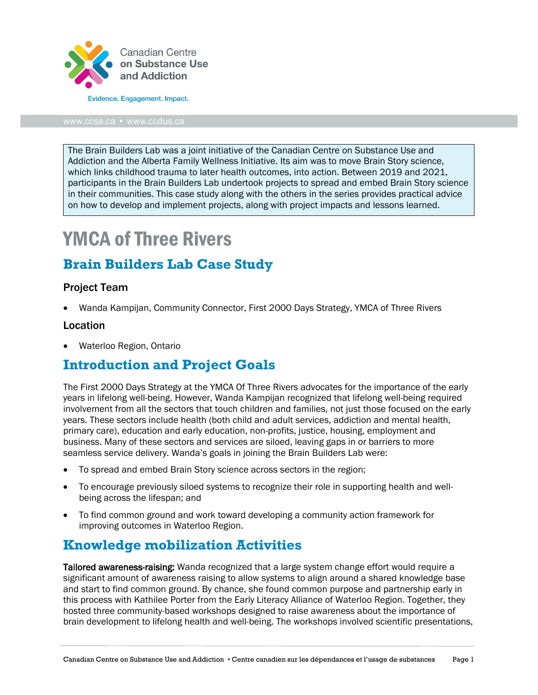

The Brain Builders Lab was a joint initiative of the Canadian Centre on Substance Use and Addiction and the Alberta Family Wellness Initiative. Its aim was to move Brain Story science, which links childhood trauma to later health outcomes, into action. Between 2019 and 2021, participants in the Brain Builders Lab undertook projects to spread and embed Brain Story science in their communities. This case study along with the others in the series provides practical advice on how to develop and implement projects, along with project impacts and lessons learned.

# YMCA of Three Rivers

### **Brain Builders Lab Case Study**

#### Project Team

• Wanda Kampijan, Community Connector, First 2000 Days Strategy, YMCA of Three Rivers

#### Location

• Waterloo Region, Ontario

### **Introduction and Project Goals**

The First 2000 Days Strategy at the YMCA Of Three Rivers advocates for the importance of the early years in lifelong well-being. However, Wanda Kampijan recognized that lifelong well-being required involvement from all the sectors that touch children and families, not just those focused on the early years. These sectors include health (both child and adult services, addiction and mental health, primary care), education and early education, non-profits, justice, housing, employment and business. Many of these sectors and services are siloed, leaving gaps in or barriers to more seamless service delivery. Wanda's goals in joining the Brain Builders Lab were:

- To spread and embed Brain Story science across sectors in the region;
- To encourage previously siloed systems to recognize their role in supporting health and wellbeing across the lifespan; and
- To find common ground and work toward developing a community action framework for improving outcomes in Waterloo Region.

#### **Knowledge mobilization Activities**

**Tailored awareness-raising:** Wanda recognized that a large system change effort would require a significant amount of awareness raising to allow systems to align around a shared knowledge base and start to find common ground. By chance, she found common purpose and partnership early in this process with Kathilee Porter from the Early Literacy Alliance of Waterloo Region. Together, they hosted three community-based workshops designed to raise awareness about the importance of brain development to lifelong health and well-being. The workshops involved scientific presentations,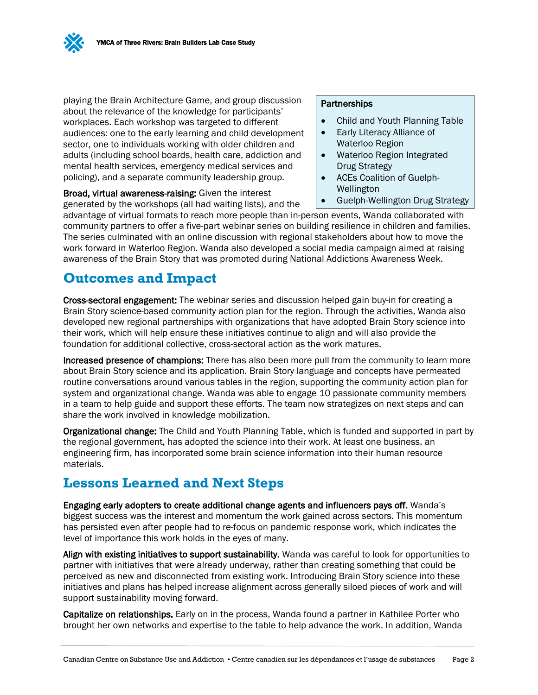playing the Brain Architecture Game, and group discussion about the relevance of the knowledge for participants' workplaces. Each workshop was targeted to different audiences: one to the early learning and child development sector, one to individuals working with older children and adults (including school boards, health care, addiction and mental health services, emergency medical services and policing), and a separate community leadership group.

Broad, virtual awareness-raising: Given the interest generated by the workshops (all had waiting lists), and the

#### **Partnerships**

- Child and Youth Planning Table
- Early Literacy Alliance of Waterloo Region
- Waterloo Region Integrated Drug Strategy
- ACEs Coalition of Guelph-Wellington
- Guelph-Wellington Drug Strategy

advantage of virtual formats to reach more people than in-person events, Wanda collaborated with community partners to offer a five-part webinar series on building resilience in children and families. The series culminated with an online discussion with regional stakeholders about how to move the work forward in Waterloo Region. Wanda also developed a social media campaign aimed at raising awareness of the Brain Story that was promoted during National Addictions Awareness Week.

# **Outcomes and Impact**

Cross-sectoral engagement: The webinar series and discussion helped gain buy-in for creating a Brain Story science-based community action plan for the region. Through the activities, Wanda also developed new regional partnerships with organizations that have adopted Brain Story science into their work, which will help ensure these initiatives continue to align and will also provide the foundation for additional collective, cross-sectoral action as the work matures.

Increased presence of champions: There has also been more pull from the community to learn more about Brain Story science and its application. Brain Story language and concepts have permeated routine conversations around various tables in the region, supporting the community action plan for system and organizational change. Wanda was able to engage 10 passionate community members in a team to help guide and support these efforts. The team now strategizes on next steps and can share the work involved in knowledge mobilization.

Organizational change: The Child and Youth Planning Table, which is funded and supported in part by the regional government, has adopted the science into their work. At least one business, an engineering firm, has incorporated some brain science information into their human resource materials.

# **Lessons Learned and Next Steps**

Engaging early adopters to create additional change agents and influencers pays off. Wanda's biggest success was the interest and momentum the work gained across sectors. This momentum has persisted even after people had to re-focus on pandemic response work, which indicates the level of importance this work holds in the eyes of many.

Align with existing initiatives to support sustainability. Wanda was careful to look for opportunities to partner with initiatives that were already underway, rather than creating something that could be perceived as new and disconnected from existing work. Introducing Brain Story science into these initiatives and plans has helped increase alignment across generally siloed pieces of work and will support sustainability moving forward.

Capitalize on relationships. Early on in the process, Wanda found a partner in Kathilee Porter who brought her own networks and expertise to the table to help advance the work. In addition, Wanda